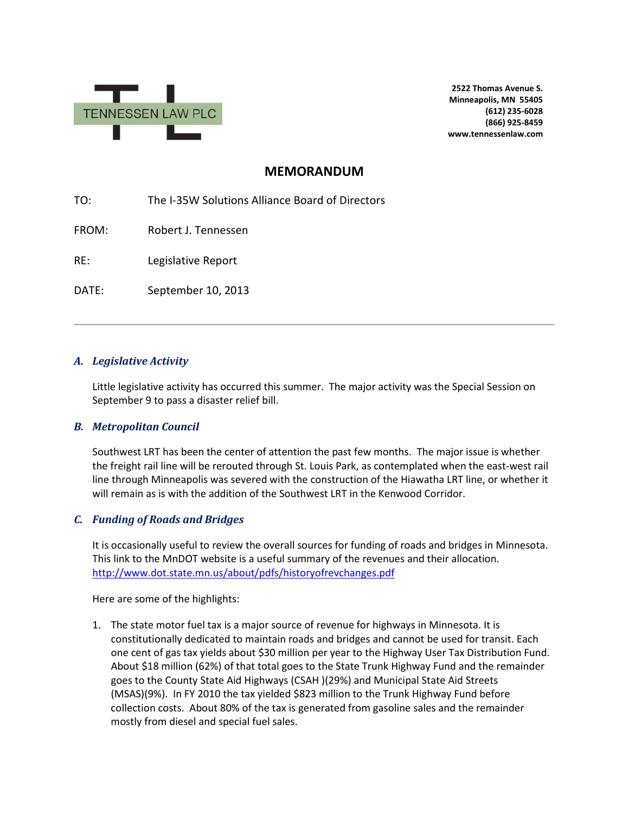

**2522 Thomas Avenue S. Minneapolis, MN 55405 (612) 235-6028 (866) 925-8459 www.tennessenlaw.com**

# **MEMORANDUM**

TO: The I-35W Solutions Alliance Board of Directors

FROM: Robert J. Tennessen

RE: Legislative Report

DATE: September 10, 2013

### *A. Legislative Activity*

Little legislative activity has occurred this summer. The major activity was the Special Session on September 9 to pass a disaster relief bill.

### *B. Metropolitan Council*

Southwest LRT has been the center of attention the past few months. The major issue is whether the freight rail line will be rerouted through St. Louis Park, as contemplated when the east-west rail line through Minneapolis was severed with the construction of the Hiawatha LRT line, or whether it will remain as is with the addition of the Southwest LRT in the Kenwood Corridor.

## *C. Funding of Roads and Bridges*

It is occasionally useful to review the overall sources for funding of roads and bridges in Minnesota. This link to the MnDOT website is a useful summary of the revenues and their allocation. <http://www.dot.state.mn.us/about/pdfs/historyofrevchanges.pdf>

Here are some of the highlights:

1. The state motor fuel tax is a major source of revenue for highways in Minnesota. It is constitutionally dedicated to maintain roads and bridges and cannot be used for transit. Each one cent of gas tax yields about \$30 million per year to the Highway User Tax Distribution Fund. About \$18 million (62%) of that total goes to the State Trunk Highway Fund and the remainder goes to the County State Aid Highways (CSAH )(29%) and Municipal State Aid Streets (MSAS)(9%). In FY 2010 the tax yielded \$823 million to the Trunk Highway Fund before collection costs. About 80% of the tax is generated from gasoline sales and the remainder mostly from diesel and special fuel sales.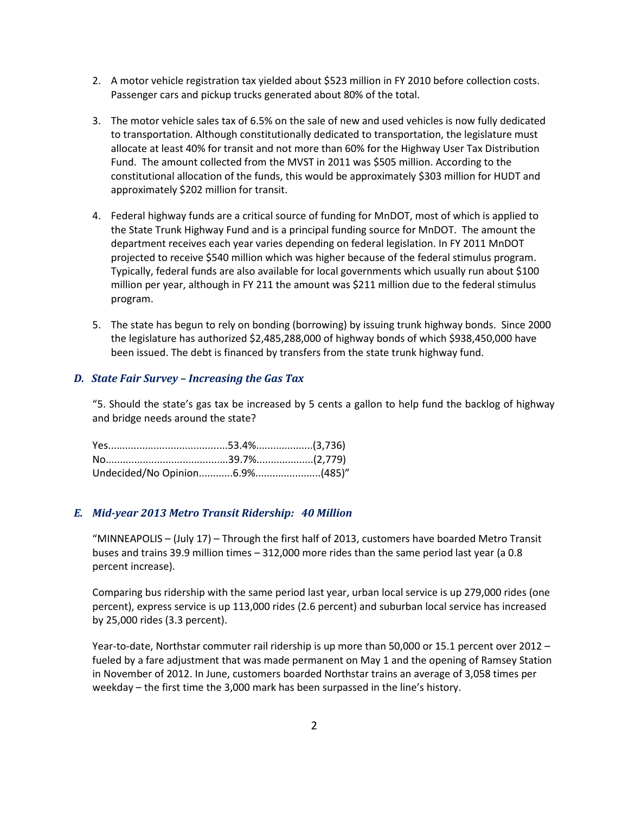- 2. A motor vehicle registration tax yielded about \$523 million in FY 2010 before collection costs. Passenger cars and pickup trucks generated about 80% of the total.
- 3. The motor vehicle sales tax of 6.5% on the sale of new and used vehicles is now fully dedicated to transportation. Although constitutionally dedicated to transportation, the legislature must allocate at least 40% for transit and not more than 60% for the Highway User Tax Distribution Fund. The amount collected from the MVST in 2011 was \$505 million. According to the constitutional allocation of the funds, this would be approximately \$303 million for HUDT and approximately \$202 million for transit.
- 4. Federal highway funds are a critical source of funding for MnDOT, most of which is applied to the State Trunk Highway Fund and is a principal funding source for MnDOT. The amount the department receives each year varies depending on federal legislation. In FY 2011 MnDOT projected to receive \$540 million which was higher because of the federal stimulus program. Typically, federal funds are also available for local governments which usually run about \$100 million per year, although in FY 211 the amount was \$211 million due to the federal stimulus program.
- 5. The state has begun to rely on bonding (borrowing) by issuing trunk highway bonds. Since 2000 the legislature has authorized \$2,485,288,000 of highway bonds of which \$938,450,000 have been issued. The debt is financed by transfers from the state trunk highway fund.

### *D. State Fair Survey – Increasing the Gas Tax*

"5. Should the state's gas tax be increased by 5 cents a gallon to help fund the backlog of highway and bridge needs around the state?

#### *E. Mid-year 2013 Metro Transit Ridership: 40 Million*

"MINNEAPOLIS – (July 17) – Through the first half of 2013, customers have boarded Metro Transit buses and trains 39.9 million times – 312,000 more rides than the same period last year (a 0.8 percent increase).

Comparing [bus ridership](https://metrotransit.org/bus) with the same period last year, urban local service is up 279,000 rides (one percent), express service is up 113,000 rides (2.6 percent) and suburban local service has increased by 25,000 rides (3.3 percent).

Year-to-date, [Northstar commuter rail](https://metrotransit.org/northstar) ridership is up more than 50,000 or 15.1 percent over 2012 – fueled by a fare adjustment that was made permanent on May 1 and the opening of Ramsey Station in November of 2012. In June, customers boarded Northstar trains an average of 3,058 times per weekday – the first time the 3,000 mark has been surpassed in the line's history.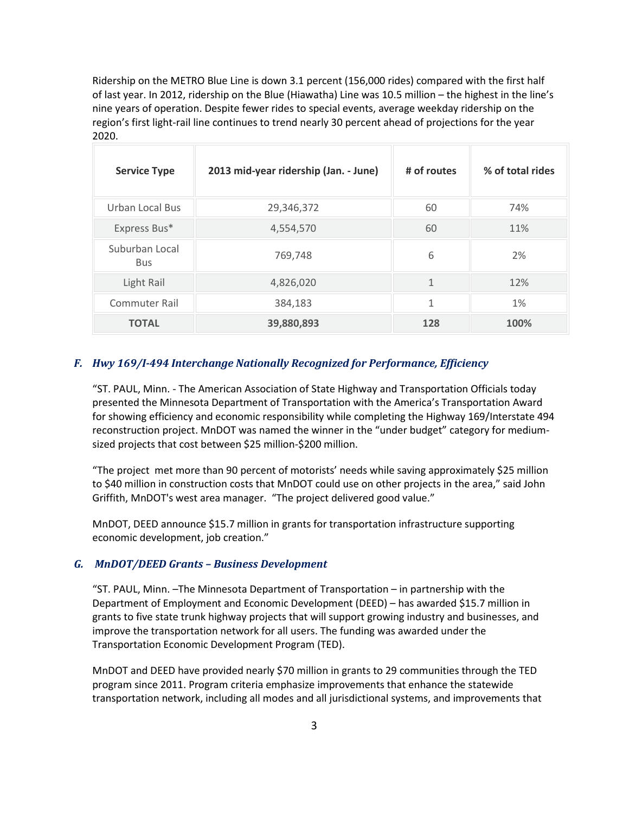Ridership on the [METRO Blue Line](https://metrotransit.org/metro-blue-line) is down 3.1 percent (156,000 rides) compared with the first half of last year. In 2012, ridership on the Blue (Hiawatha) Line was 10.5 million – the highest in the line's nine years of operation. Despite fewer rides to special events, average weekday ridership on the region's first light-rail line continues to trend nearly 30 percent ahead of projections for the year 2020.

| <b>Service Type</b>          | 2013 mid-year ridership (Jan. - June) | # of routes | % of total rides |  |
|------------------------------|---------------------------------------|-------------|------------------|--|
| Urban Local Bus              | 29,346,372                            | 60          | 74%              |  |
| Express Bus*                 | 4,554,570                             | 60          | 11%              |  |
| Suburban Local<br><b>Bus</b> | 769,748                               | 6           | 2%               |  |
| Light Rail                   | 4,826,020                             | 1           | 12%              |  |
| <b>Commuter Rail</b>         | 384,183                               | 1           | 1%               |  |
| <b>TOTAL</b>                 | 39,880,893                            | 128         | 100%             |  |

#### *F. Hwy 169/I-494 Interchange Nationally Recognized for Performance, Efficiency*

"ST. PAUL, Minn. - The American Association of State Highway and Transportation Officials today presented the Minnesota Department of Transportation with the America's Transportation Award for showing efficiency and economic responsibility while completing the Highway 169/Interstate 494 reconstruction project. MnDOT was named the winner in the "under budget" category for mediumsized projects that cost between \$25 million-\$200 million.

"The project met more than 90 percent of motorists' needs while saving approximately \$25 million to \$40 million in construction costs that MnDOT could use on other projects in the area," said John Griffith, MnDOT's west area manager. "The project delivered good value."

MnDOT, DEED announce \$15.7 million in grants for transportation infrastructure supporting economic development, job creation."

#### *G. MnDOT/DEED Grants – Business Development*

"ST. PAUL, Minn. –The Minnesota Department of Transportation – in partnership with the Department of Employment and Economic Development (DEED) – has awarded \$15.7 million in grants to five state trunk highway projects that will support growing industry and businesses, and improve the transportation network for all users. The funding was awarded under the Transportation Economic Development Program (TED).

MnDOT and DEED have provided nearly \$70 million in grants to 29 communities through the TED program since 2011. Program criteria emphasize improvements that enhance the statewide transportation network, including all modes and all jurisdictional systems, and improvements that